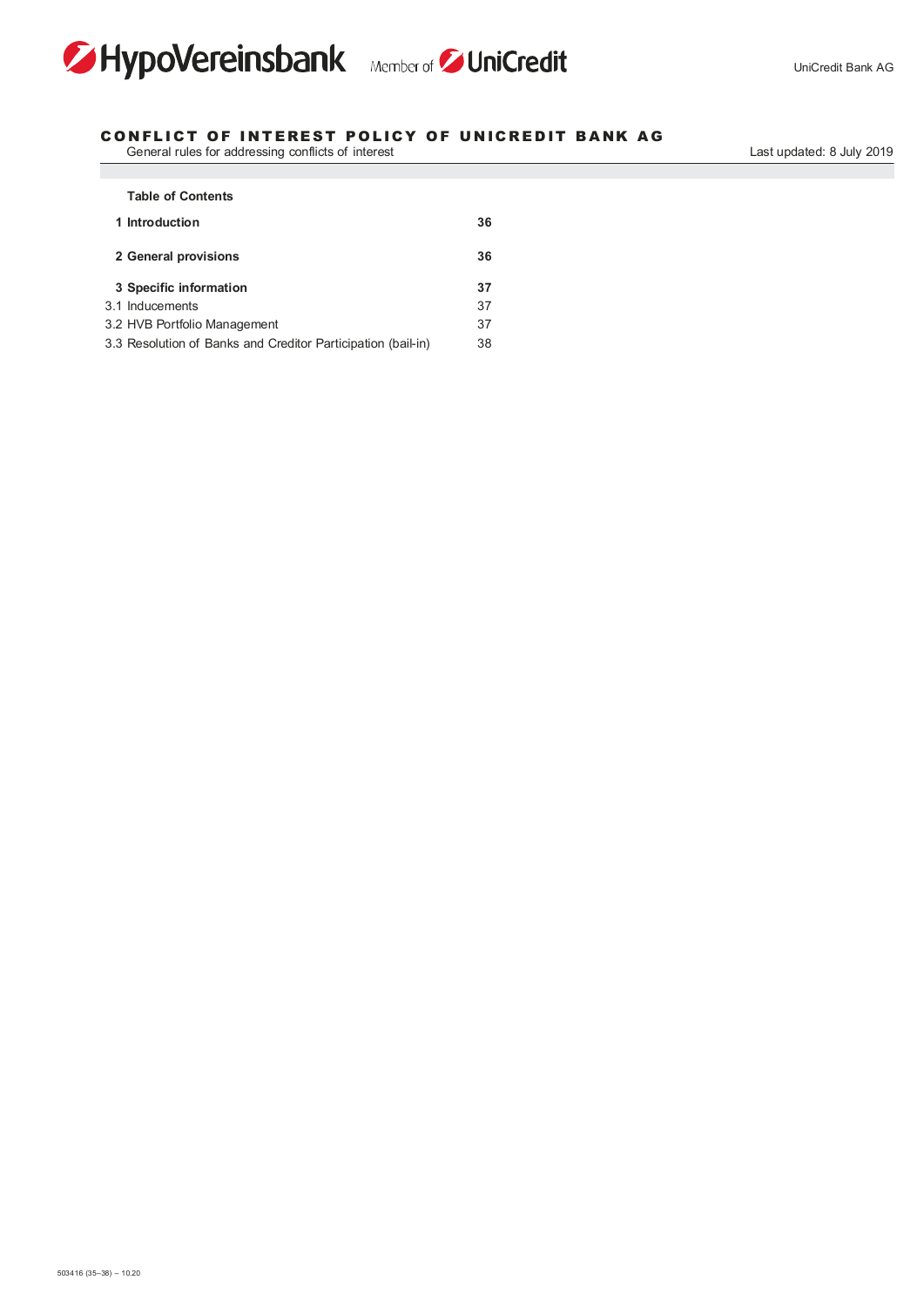



## CONFLICT OF INTEREST POLICY OF UNICREDIT BANK AG

 General rules for addressing conflicts of interest Last updated: 8 July 2019

| <b>Table of Contents</b>                                     |    |
|--------------------------------------------------------------|----|
| 1 Introduction                                               | 36 |
| 2 General provisions                                         | 36 |
| 3 Specific information                                       | 37 |
| 3.1 Inducements                                              | 37 |
| 3.2 HVB Portfolio Management                                 | 37 |
| 3.3 Resolution of Banks and Creditor Participation (bail-in) | 38 |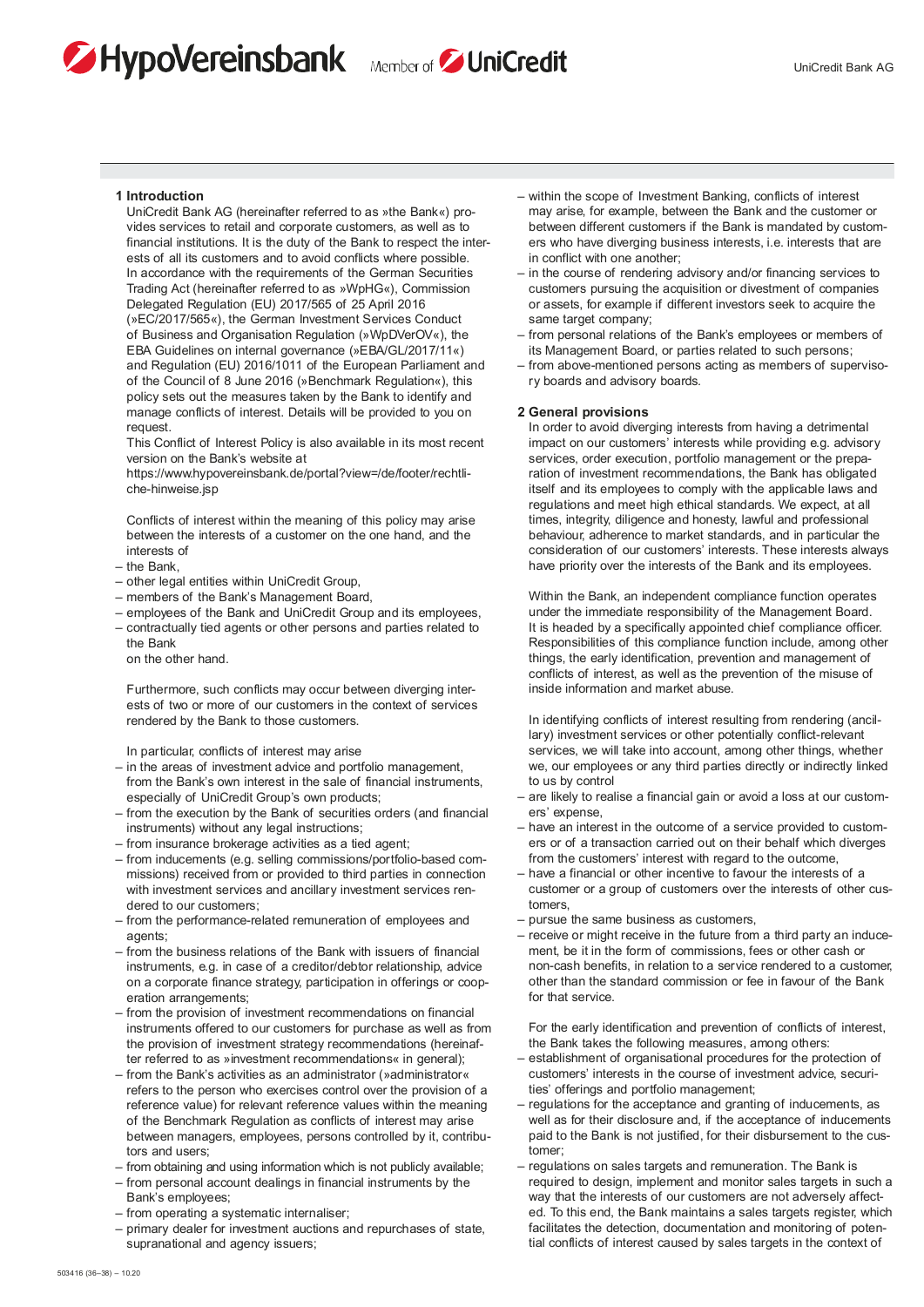# HypoVereinsbank Member of DuniCredit



#### 1 Introduction

 UniCredit Bank AG (hereinafter referred to as »the Bank«) provides services to retail and corporate customers, as well as to financial institutions. It is the duty of the Bank to respect the interests of all its customers and to avoid conflicts where possible. In accordance with the requirements of the German Securities Trading Act (hereinafter referred to as »WpHG«), Commission Delegated Regulation (EU) 2017/565 of 25 April 2016 (»EC/2017/565«), the German Investment Services Conduct of Business and Organisation Regulation (»WpDVerOV«), the EBA Guidelines on internal governance (»EBA/GL/2017/11«) and Regulation (EU) 2016/1011 of the European Parliament and of the Council of 8 June 2016 (»Benchmark Regulation«), this policy sets out the measures taken by the Bank to identify and manage conflicts of interest. Details will be provided to you on request.

 This Conflict of Interest Policy is also available in its most recent version on the Bank's website at

 https://www.hypovereinsbank.de/portal?view=/de/footer/rechtliche-hinweise.jsp

 Conflicts of interest within the meaning of this policy may arise between the interests of a customer on the one hand, and the interests of

- the Bank,
- other legal entities within UniCredit Group,
- members of the Bank's Management Board,
- employees of the Bank and UniCredit Group and its employees, – contractually tied agents or other persons and parties related to the Bank
	- on the other hand.

 Furthermore, such conflicts may occur between diverging interests of two or more of our customers in the context of services rendered by the Bank to those customers.

In particular, conflicts of interest may arise

- in the areas of investment advice and portfolio management, from the Bank's own interest in the sale of financial instruments, especially of UniCredit Group's own products;
- from the execution by the Bank of securities orders (and financial instruments) without any legal instructions;
- from insurance brokerage activities as a tied agent;
- from inducements (e.g. selling commissions/portfolio-based commissions) received from or provided to third parties in connection with investment services and ancillary investment services rendered to our customers;
- from the performance-related remuneration of employees and agents:
- from the business relations of the Bank with issuers of financial instruments, e.g. in case of a creditor/debtor relationship, advice on a corporate finance strategy, participation in offerings or cooperation arrangements;
- from the provision of investment recommendations on financial instruments offered to our customers for purchase as well as from the provision of investment strategy recommendations (hereinafter referred to as »investment recommendations« in general);
- from the Bank's activities as an administrator (»administrator« refers to the person who exercises control over the provision of a reference value) for relevant reference values within the meaning of the Benchmark Regulation as conflicts of interest may arise between managers, employees, persons controlled by it, contributors and users;
- from obtaining and using information which is not publicly available;
- from personal account dealings in financial instruments by the Bank's employees;
- from operating a systematic internaliser;
- primary dealer for investment auctions and repurchases of state, supranational and agency issuers;
- within the scope of Investment Banking, conflicts of interest may arise, for example, between the Bank and the customer or between different customers if the Bank is mandated by customers who have diverging business interests, i.e. interests that are in conflict with one another;
- in the course of rendering advisory and/or financing services to customers pursuing the acquisition or divestment of companies or assets, for example if different investors seek to acquire the same target company:
- from personal relations of the Bank's employees or members of its Management Board, or parties related to such persons;
- from above-mentioned persons acting as members of supervisory boards and advisory boards.

#### 2 General provisions

 In order to avoid diverging interests from having a detrimental impact on our customers' interests while providing e.g. advisory services, order execution, portfolio management or the preparation of investment recommendations, the Bank has obligated itself and its employees to comply with the applicable laws and regulations and meet high ethical standards. We expect, at all times, integrity, diligence and honesty, lawful and professional behaviour, adherence to market standards, and in particular the consideration of our customers' interests. These interests always have priority over the interests of the Bank and its employees.

 Within the Bank, an independent compliance function operates under the immediate responsibility of the Management Board. It is headed by a specifically appointed chief compliance officer. Responsibilities of this compliance function include, among other things, the early identification, prevention and management of conflicts of interest, as well as the prevention of the misuse of inside information and market abuse.

 In identifying conflicts of interest resulting from rendering (ancillary) investment services or other potentially conflict-relevant services, we will take into account, among other things, whether we, our employees or any third parties directly or indirectly linked to us by control

- are likely to realise a financial gain or avoid a loss at our customers' expense,
- have an interest in the outcome of a service provided to customers or of a transaction carried out on their behalf which diverges from the customers' interest with regard to the outcome,
- have a financial or other incentive to favour the interests of a customer or a group of customers over the interests of other customers,
- pursue the same business as customers,
- receive or might receive in the future from a third party an inducement, be it in the form of commissions, fees or other cash or non-cash benefits, in relation to a service rendered to a customer, other than the standard commission or fee in favour of the Bank for that service.

 For the early identification and prevention of conflicts of interest, the Bank takes the following measures, among others:

- establishment of organisational procedures for the protection of customers' interests in the course of investment advice, securities' offerings and portfolio management;
- regulations for the acceptance and granting of inducements, as well as for their disclosure and, if the acceptance of inducements paid to the Bank is not justified, for their disbursement to the customer;
- regulations on sales targets and remuneration. The Bank is required to design, implement and monitor sales targets in such a way that the interests of our customers are not adversely affected. To this end, the Bank maintains a sales targets register, which facilitates the detection, documentation and monitoring of potential conflicts of interest caused by sales targets in the context of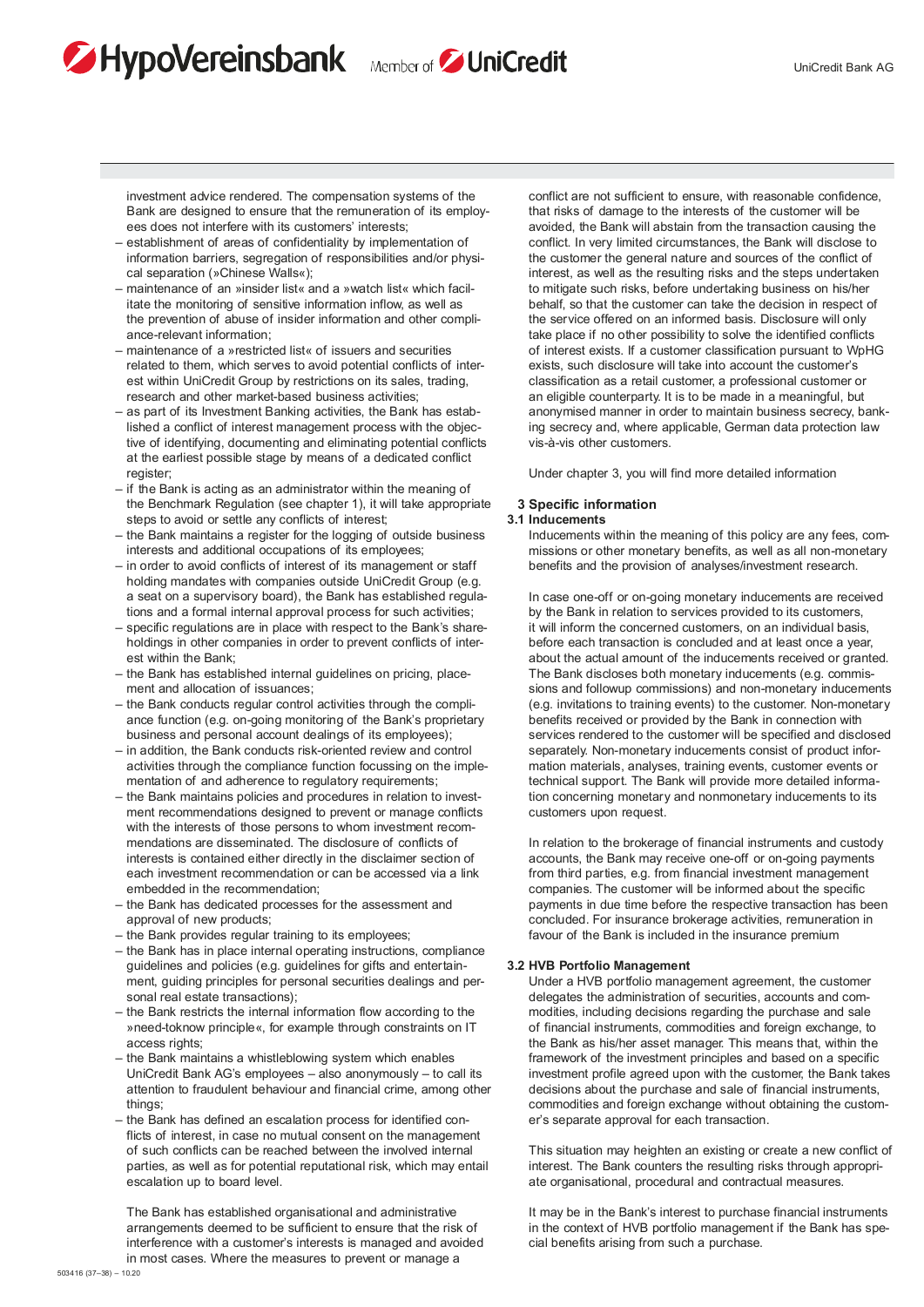investment advice rendered. The compensation systems of the Bank are designed to ensure that the remuneration of its employees does not interfere with its customers' interests;

HypoVereinsbank Member of DuniCredit

- establishment of areas of confidentiality by implementation of information barriers, segregation of responsibilities and/or physical separation (»Chinese Walls«);
- maintenance of an »insider list« and a »watch list« which facilitate the monitoring of sensitive information inflow, as well as the prevention of abuse of insider information and other compliance-relevant information;
- maintenance of a »restricted list« of issuers and securities related to them, which serves to avoid potential conflicts of interest within UniCredit Group by restrictions on its sales, trading, research and other market-based business activities;
- as part of its Investment Banking activities, the Bank has established a conflict of interest management process with the objective of identifying, documenting and eliminating potential conflicts at the earliest possible stage by means of a dedicated conflict register;
- if the Bank is acting as an administrator within the meaning of the Benchmark Regulation (see chapter 1), it will take appropriate steps to avoid or settle any conflicts of interest;
- the Bank maintains a register for the logging of outside business interests and additional occupations of its employees;
- in order to avoid conflicts of interest of its management or staff holding mandates with companies outside UniCredit Group (e.g. a seat on a supervisory board), the Bank has established regulations and a formal internal approval process for such activities;
- specific regulations are in place with respect to the Bank's shareholdings in other companies in order to prevent conflicts of interest within the Bank;
- the Bank has established internal guidelines on pricing, placement and allocation of issuances;
- the Bank conducts regular control activities through the compliance function (e.g. on-going monitoring of the Bank's proprietary business and personal account dealings of its employees);
- in addition, the Bank conducts risk-oriented review and control activities through the compliance function focussing on the implementation of and adherence to regulatory requirements;
- the Bank maintains policies and procedures in relation to investment recommendations designed to prevent or manage conflicts with the interests of those persons to whom investment recommendations are disseminated. The disclosure of conflicts of interests is contained either directly in the disclaimer section of each investment recommendation or can be accessed via a link embedded in the recommendation;
- the Bank has dedicated processes for the assessment and approval of new products;
- the Bank provides regular training to its employees;
- the Bank has in place internal operating instructions, compliance guidelines and policies (e.g. guidelines for gifts and entertainment, guiding principles for personal securities dealings and personal real estate transactions);
- the Bank restricts the internal information flow according to the »need-toknow principle«, for example through constraints on IT access rights;
- the Bank maintains a whistleblowing system which enables UniCredit Bank AG's employees – also anonymously – to call its attention to fraudulent behaviour and financial crime, among other things;
- the Bank has defined an escalation process for identified conflicts of interest, in case no mutual consent on the management of such conflicts can be reached between the involved internal parties, as well as for potential reputational risk, which may entail escalation up to board level.

 The Bank has established organisational and administrative arrangements deemed to be sufficient to ensure that the risk of interference with a customer's interests is managed and avoided in most cases. Where the measures to prevent or manage a

 conflict are not sufficient to ensure, with reasonable confidence, that risks of damage to the interests of the customer will be avoided, the Bank will abstain from the transaction causing the conflict. In very limited circumstances, the Bank will disclose to the customer the general nature and sources of the conflict of interest, as well as the resulting risks and the steps undertaken to mitigate such risks, before undertaking business on his/her behalf, so that the customer can take the decision in respect of the service offered on an informed basis. Disclosure will only take place if no other possibility to solve the identified conflicts of interest exists. If a customer classification pursuant to WpHG exists, such disclosure will take into account the customer's classification as a retail customer, a professional customer or an eligible counterparty. It is to be made in a meaningful, but anonymised manner in order to maintain business secrecy, banking secrecy and, where applicable, German data protection law vis-à-vis other customers.

Under chapter 3, you will find more detailed information

## 3 Specific information

## 3.1 Inducements

 Inducements within the meaning of this policy are any fees, commissions or other monetary benefits, as well as all non-monetary benefits and the provision of analyses/investment research.

 In case one-off or on-going monetary inducements are received by the Bank in relation to services provided to its customers, it will inform the concerned customers, on an individual basis, before each transaction is concluded and at least once a year, about the actual amount of the inducements received or granted. The Bank discloses both monetary inducements (e.g. commissions and followup commissions) and non-monetary inducements (e.g. invitations to training events) to the customer. Non-monetary benefits received or provided by the Bank in connection with services rendered to the customer will be specified and disclosed separately. Non-monetary inducements consist of product information materials, analyses, training events, customer events or technical support. The Bank will provide more detailed information concerning monetary and nonmonetary inducements to its customers upon request.

 In relation to the brokerage of financial instruments and custody accounts, the Bank may receive one-off or on-going payments from third parties, e.g. from financial investment management companies. The customer will be informed about the specific payments in due time before the respective transaction has been concluded. For insurance brokerage activities, remuneration in favour of the Bank is included in the insurance premium

#### 3.2 HVB Portfolio Management

 Under a HVB portfolio management agreement, the customer delegates the administration of securities, accounts and commodities, including decisions regarding the purchase and sale of financial instruments, commodities and foreign exchange, to the Bank as his/her asset manager. This means that, within the framework of the investment principles and based on a specific investment profile agreed upon with the customer, the Bank takes decisions about the purchase and sale of financial instruments, commodities and foreign exchange without obtaining the customer's separate approval for each transaction.

 This situation may heighten an existing or create a new conflict of interest. The Bank counters the resulting risks through appropriate organisational, procedural and contractual measures.

 It may be in the Bank's interest to purchase financial instruments in the context of HVB portfolio management if the Bank has special benefits arising from such a purchase.